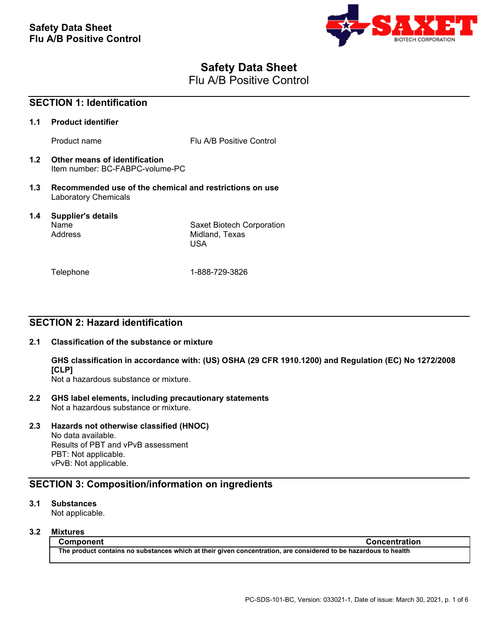

# **Safety Data Sheet**

Flu A/B Positive Control

| <b>SECTION 1: Identification</b> |                                                                                        |                                                           |
|----------------------------------|----------------------------------------------------------------------------------------|-----------------------------------------------------------|
| 1.1                              | <b>Product identifier</b>                                                              |                                                           |
|                                  | Product name                                                                           | Flu A/B Positive Control                                  |
|                                  | 1.2 Other means of identification<br>Item number: BC-FABPC-volume-PC                   |                                                           |
| 1.3                              | Recommended use of the chemical and restrictions on use<br><b>Laboratory Chemicals</b> |                                                           |
| $1.4^{\circ}$                    | <b>Supplier's details</b><br>Name<br>Address                                           | Saxet Biotech Corporation<br>Midland, Texas<br><b>USA</b> |
|                                  | Telephone                                                                              | 1-888-729-3826                                            |

## **SECTION 2: Hazard identification**

## **2.1 Classification of the substance or mixture**

**GHS classification in accordance with: (US) OSHA (29 CFR 1910.1200) and Regulation (EC) No 1272/2008 [CLP]**

Not a hazardous substance or mixture.

**2.2 GHS label elements, including precautionary statements** Not a hazardous substance or mixture.

## **2.3 Hazards not otherwise classified (HNOC)**

No data available. Results of PBT and vPvB assessment PBT: Not applicable. vPvB: Not applicable.

## **SECTION 3: Composition/information on ingredients**

## **3.1 Substances**

Not applicable.

## **3.2 Mixtures**

**Component Concentration The product contains no substances which at their given concentration, are considered to be hazardous to health**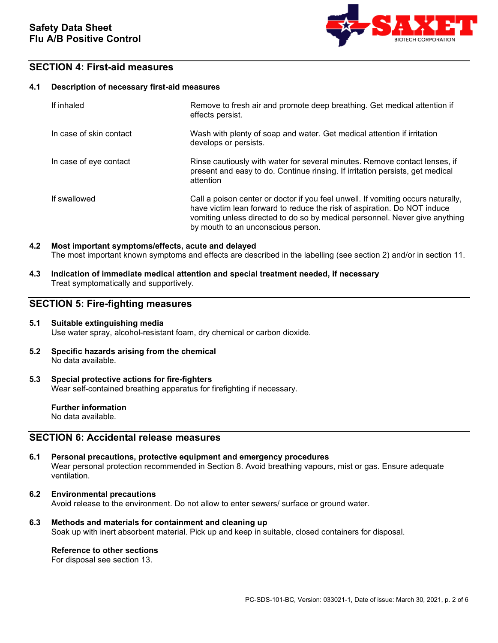

## **SECTION 4: First-aid measures**

#### **4.1 Description of necessary first-aid measures**

| If inhaled              | Remove to fresh air and promote deep breathing. Get medical attention if<br>effects persist.                                                                                                                                                                                      |
|-------------------------|-----------------------------------------------------------------------------------------------------------------------------------------------------------------------------------------------------------------------------------------------------------------------------------|
| In case of skin contact | Wash with plenty of soap and water. Get medical attention if irritation<br>develops or persists.                                                                                                                                                                                  |
| In case of eye contact  | Rinse cautiously with water for several minutes. Remove contact lenses, if<br>present and easy to do. Continue rinsing. If irritation persists, get medical<br>attention                                                                                                          |
| If swallowed            | Call a poison center or doctor if you feel unwell. If vomiting occurs naturally,<br>have victim lean forward to reduce the risk of aspiration. Do NOT induce<br>vomiting unless directed to do so by medical personnel. Never give anything<br>by mouth to an unconscious person. |

### **4.2 Most important symptoms/effects, acute and delayed** The most important known symptoms and effects are described in the labelling (see section 2) and/or in section 11.

**4.3 Indication of immediate medical attention and special treatment needed, if necessary** Treat symptomatically and supportively.

## **SECTION 5: Fire-fighting measures**

### **5.1 Suitable extinguishing media** Use water spray, alcohol-resistant foam, dry chemical or carbon dioxide.

**5.2 Specific hazards arising from the chemical** No data available.

### **5.3 Special protective actions for fire-fighters** Wear self-contained breathing apparatus for firefighting if necessary.

**Further information** No data available.

## **SECTION 6: Accidental release measures**

- **6.1 Personal precautions, protective equipment and emergency procedures** Wear personal protection recommended in Section 8. Avoid breathing vapours, mist or gas. Ensure adequate ventilation.
- **6.2 Environmental precautions** Avoid release to the environment. Do not allow to enter sewers/ surface or ground water.
- **6.3 Methods and materials for containment and cleaning up** Soak up with inert absorbent material. Pick up and keep in suitable, closed containers for disposal.

### **Reference to other sections**

For disposal see section 13.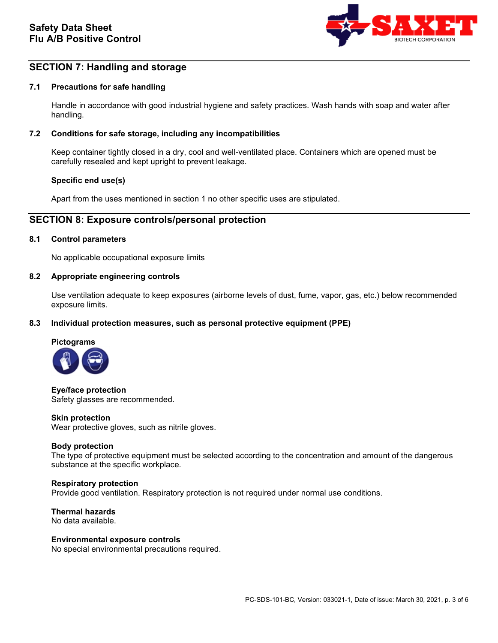

## **SECTION 7: Handling and storage**

### **7.1 Precautions for safe handling**

Handle in accordance with good industrial hygiene and safety practices. Wash hands with soap and water after handling.

### **7.2 Conditions for safe storage, including any incompatibilities**

Keep container tightly closed in a dry, cool and well-ventilated place. Containers which are opened must be carefully resealed and kept upright to prevent leakage.

### **Specific end use(s)**

Apart from the uses mentioned in section 1 no other specific uses are stipulated.

## **SECTION 8: Exposure controls/personal protection**

#### **8.1 Control parameters**

No applicable occupational exposure limits

#### **8.2 Appropriate engineering controls**

Use ventilation adequate to keep exposures (airborne levels of dust, fume, vapor, gas, etc.) below recommended exposure limits.

#### **8.3 Individual protection measures, such as personal protective equipment (PPE)**



**Eye/face protection** Safety glasses are recommended.

#### **Skin protection**

Wear protective gloves, such as nitrile gloves.

#### **Body protection**

The type of protective equipment must be selected according to the concentration and amount of the dangerous substance at the specific workplace.

#### **Respiratory protection**

Provide good ventilation. Respiratory protection is not required under normal use conditions.

**Thermal hazards** No data available.

#### **Environmental exposure controls**

No special environmental precautions required.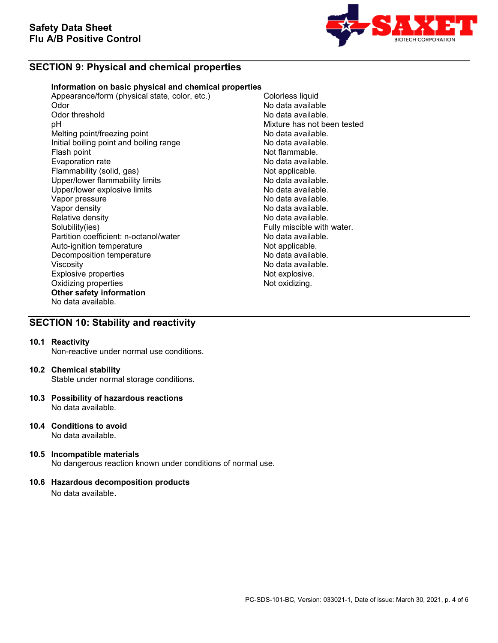

## **SECTION 9: Physical and chemical properties**

### **Information on basic physical and chemical properties**

Appearance/form (physical state, color, etc.) Colorless liquid<br>Odor Mo data availab Odor No data available Odor threshold **No data available.**<br>
DH No data available.<br>
Nixture has not be Melting point/freezing point<br>
Initial boiling point and boiling range<br>
No data available. Initial boiling point and boiling range<br>Flash point Evaporation rate<br>
Flammability (solid, gas) Not applicable. Flammability (solid, gas) Not applicable.<br>
Upper/lower flammability limits No data available. Upper/lower flammability limits and the second of the No data available.<br>
Upper/lower explosive limits and the No data available. Upper/lower explosive limits<br>Vapor pressure Vapor pressure<br>Vapor density de la communitative de la communitative de la construction de la communitative de la communitati<br>No data available. Vapor density<br>
Relative density<br>
Relative density<br>
No data available. Relative density<br>
Solubility(ies)<br>
Solubility(ies)<br>
Solubility(ies) Partition coefficient: n-octanol/water **No data available.**<br>Auto-ignition temperature **Note and Auto-ignition** Auto-ignition temperature and the Not applicable.<br>
Decomposition temperature Not applicable. Decomposition temperature Viscosity<br>
Explosive properties<br>
Explosive explosive explosive explosive explosive explosive explosive explosive explosive explosive explosive explosive explosive explosive explosive explosive explosive explosive explosive Explosive properties and the explosive properties of the explosive.<br>
Oxidizing properties and the explosive of the explosive. Oxidizing properties **Other safety information** No data available.

Mixture has not been tested<br>No data available. Not flammable.<br>No data available. Fully miscible with water.

## **SECTION 10: Stability and reactivity**

### **10.1 Reactivity**

Non-reactive under normal use conditions.

#### **10.2 Chemical stability**

Stable under normal storage conditions.

- **10.3 Possibility of hazardous reactions** No data available.
- **10.4 Conditions to avoid** No data available.
- **10.5 Incompatible materials** No dangerous reaction known under conditions of normal use.

## **10.6 Hazardous decomposition products**

No data available.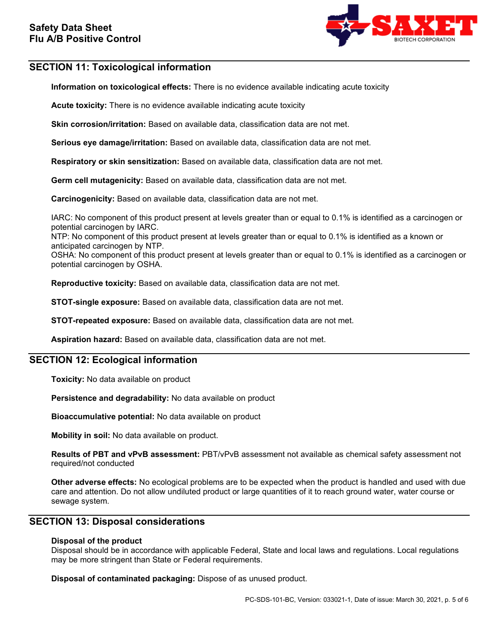

## **SECTION 11: Toxicological information**

**Information on toxicological effects:** There is no evidence available indicating acute toxicity

**Acute toxicity:** There is no evidence available indicating acute toxicity

**Skin corrosion/irritation:** Based on available data, classification data are not met.

**Serious eye damage/irritation:** Based on available data, classification data are not met.

**Respiratory or skin sensitization:** Based on available data, classification data are not met.

**Germ cell mutagenicity:** Based on available data, classification data are not met.

**Carcinogenicity:** Based on available data, classification data are not met.

IARC: No component of this product present at levels greater than or equal to 0.1% is identified as a carcinogen or potential carcinogen by IARC.

NTP: No component of this product present at levels greater than or equal to 0.1% is identified as a known or anticipated carcinogen by NTP.

OSHA: No component of this product present at levels greater than or equal to 0.1% is identified as a carcinogen or potential carcinogen by OSHA.

**Reproductive toxicity:** Based on available data, classification data are not met.

**STOT-single exposure:** Based on available data, classification data are not met.

**STOT-repeated exposure:** Based on available data, classification data are not met.

**Aspiration hazard:** Based on available data, classification data are not met.

## **SECTION 12: Ecological information**

**Toxicity:** No data available on product

**Persistence and degradability:** No data available on product

**Bioaccumulative potential:** No data available on product

**Mobility in soil:** No data available on product.

**Results of PBT and vPvB assessment:** PBT/vPvB assessment not available as chemical safety assessment not required/not conducted

**Other adverse effects:** No ecological problems are to be expected when the product is handled and used with due care and attention. Do not allow undiluted product or large quantities of it to reach ground water, water course or sewage system.

## **SECTION 13: Disposal considerations**

### **Disposal of the product**

Disposal should be in accordance with applicable Federal, State and local laws and regulations. Local regulations may be more stringent than State or Federal requirements.

**Disposal of contaminated packaging:** Dispose of as unused product.